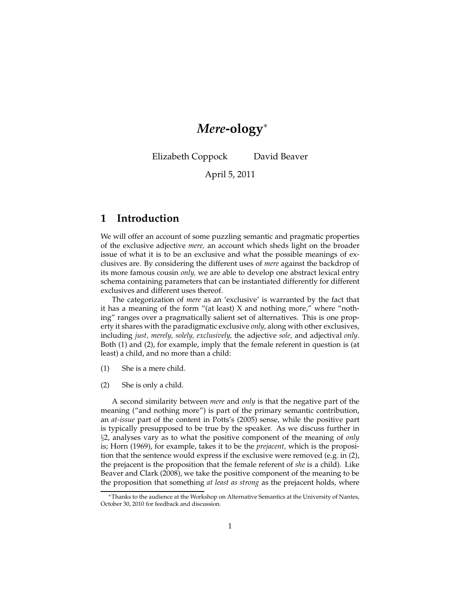# *Mere***-ology**<sup>∗</sup>

Elizabeth Coppock David Beaver

April 5, 2011

# **1 Introduction**

We will offer an account of some puzzling semantic and pragmatic properties of the exclusive adjective *mere,* an account which sheds light on the broader issue of what it is to be an exclusive and what the possible meanings of exclusives are. By considering the different uses of *mere* against the backdrop of its more famous cousin *only,* we are able to develop one abstract lexical entry schema containing parameters that can be instantiated differently for different exclusives and different uses thereof.

The categorization of *mere* as an 'exclusive' is warranted by the fact that it has a meaning of the form "(at least)  $X$  and nothing more," where "nothing" ranges over a pragmatically salient set of alternatives. This is one property it shares with the paradigmatic exclusive *only,* along with other exclusives, including *just, merely, solely, exclusively,* the adjective *sole,* and adjectival *only*. Both (1) and (2), for example, imply that the female referent in question is (at least) a child, and no more than a child:

- (1) She is a mere child.
- (2) She is only a child.

A second similarity between *mere* and *only* is that the negative part of the meaning ("and nothing more") is part of the primary semantic contribution, an *at-issue* part of the content in Potts's (2005) sense, while the positive part is typically presupposed to be true by the speaker. As we discuss further in §2, analyses vary as to what the positive component of the meaning of *only* is; Horn (1969), for example, takes it to be the *prejacent,* which is the proposition that the sentence would express if the exclusive were removed (e.g. in (2), the prejacent is the proposition that the female referent of *she* is a child). Like Beaver and Clark (2008), we take the positive component of the meaning to be the proposition that something *at least as strong* as the prejacent holds, where

<sup>∗</sup>Thanks to the audience at the Workshop on Alternative Semantics at the University of Nantes, October 30, 2010 for feedback and discussion.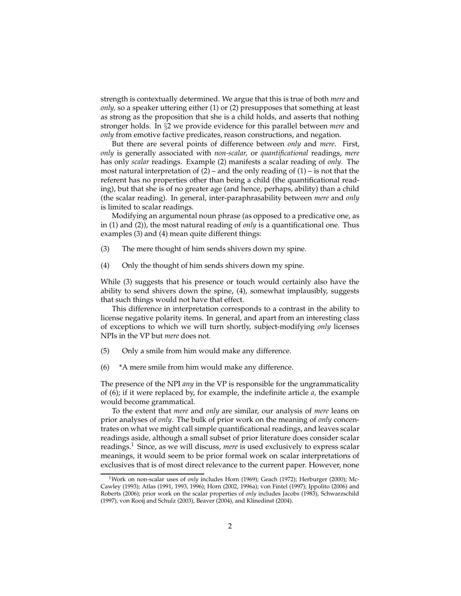strength is contextually determined. We argue that this is true of both *mere* and *only,* so a speaker uttering either (1) or (2) presupposes that something at least as strong as the proposition that she is a child holds, and asserts that nothing stronger holds. In §2 we provide evidence for this parallel between *mere* and *only* from emotive factive predicates, reason constructions, and negation.

But there are several points of difference between *only* and *mere*. First, *only* is generally associated with *non-scalar,* or *quantificational* readings, *mere* has only *scalar* readings. Example (2) manifests a scalar reading of *only*. The most natural interpretation of  $(2)$  – and the only reading of  $(1)$  – is not that the referent has no properties other than being a child (the quantificational reading), but that she is of no greater age (and hence, perhaps, ability) than a child (the scalar reading). In general, inter-paraphrasability between *mere* and *only* is limited to scalar readings.

Modifying an argumental noun phrase (as opposed to a predicative one, as in (1) and (2)), the most natural reading of *only* is a quantificational one. Thus examples (3) and (4) mean quite different things:

- (3) The mere thought of him sends shivers down my spine.
- (4) Only the thought of him sends shivers down my spine.

While (3) suggests that his presence or touch would certainly also have the ability to send shivers down the spine, (4), somewhat implausibly, suggests that such things would not have that effect.

This difference in interpretation corresponds to a contrast in the ability to license negative polarity items. In general, and apart from an interesting class of exceptions to which we will turn shortly, subject-modifying *only* licenses NPIs in the VP but *mere* does not.

- (5) Only a smile from him would make any difference.
- (6) \*A mere smile from him would make any difference.

The presence of the NPI *any* in the VP is responsible for the ungrammaticality of (6); if it were replaced by, for example, the indefinite article *a,* the example would become grammatical.

To the extent that *mere* and *only* are similar, our analysis of *mere* leans on prior analyses of *only*. The bulk of prior work on the meaning of *only* concentrates on what we might call simple quantificational readings, and leaves scalar readings aside, although a small subset of prior literature does consider scalar readings.<sup>1</sup> Since, as we will discuss, *mere* is used exclusively to express scalar meanings, it would seem to be prior formal work on scalar interpretations of exclusives that is of most direct relevance to the current paper. However, none

<sup>&</sup>lt;sup>1</sup>Work on non-scalar uses of *only* includes Horn (1969); Geach (1972); Herburger (2000); Mc-Cawley (1993); Atlas (1991, 1993, 1996); Horn (2002, 1996a); von Fintel (1997); Ippolito (2006) and Roberts (2006); prior work on the scalar properties of *only* includes Jacobs (1983), Schwarzschild (1997), von Rooij and Schulz (2003), Beaver (2004), and Klinedinst (2004).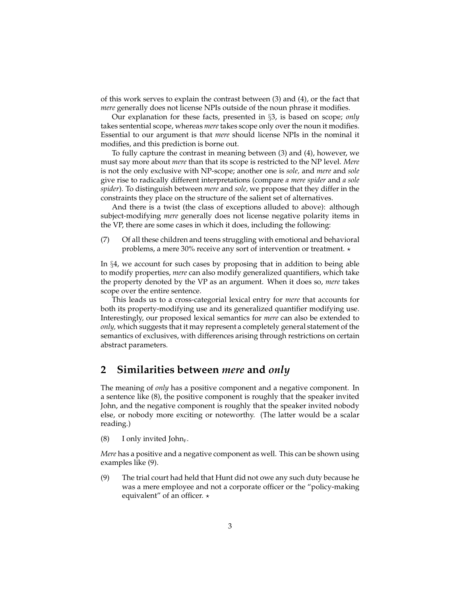of this work serves to explain the contrast between (3) and (4), or the fact that *mere* generally does not license NPIs outside of the noun phrase it modifies.

Our explanation for these facts, presented in §3, is based on scope; *only* takes sentential scope, whereas *mere* takes scope only over the noun it modifies. Essential to our argument is that *mere* should license NPIs in the nominal it modifies, and this prediction is borne out.

To fully capture the contrast in meaning between (3) and (4), however, we must say more about *mere* than that its scope is restricted to the NP level. *Mere* is not the only exclusive with NP-scope; another one is *sole,* and *mere* and *sole* give rise to radically different interpretations (compare *a mere spider* and *a sole spider*). To distinguish between *mere* and *sole,* we propose that they differ in the constraints they place on the structure of the salient set of alternatives.

And there is a twist (the class of exceptions alluded to above): although subject-modifying *mere* generally does not license negative polarity items in the VP, there are some cases in which it does, including the following:

(7) Of all these children and teens struggling with emotional and behavioral problems, a mere 30% receive any sort of intervention or treatment.  $\star$ 

In §4, we account for such cases by proposing that in addition to being able to modify properties, *mere* can also modify generalized quantifiers, which take the property denoted by the VP as an argument. When it does so, *mere* takes scope over the entire sentence.

This leads us to a cross-categorial lexical entry for *mere* that accounts for both its property-modifying use and its generalized quantifier modifying use. Interestingly, our proposed lexical semantics for *mere* can also be extended to *only,* which suggests that it may represent a completely general statement of the semantics of exclusives, with differences arising through restrictions on certain abstract parameters.

# **2 Similarities between** *mere* **and** *only*

The meaning of *only* has a positive component and a negative component. In a sentence like (8), the positive component is roughly that the speaker invited John, and the negative component is roughly that the speaker invited nobody else, or nobody more exciting or noteworthy. (The latter would be a scalar reading.)

(8) I only invited John<sub>F</sub>.

*Mere* has a positive and a negative component as well. This can be shown using examples like (9).

(9) The trial court had held that Hunt did not owe any such duty because he was a mere employee and not a corporate officer or the "policy-making equivalent" of an officer.  $\star$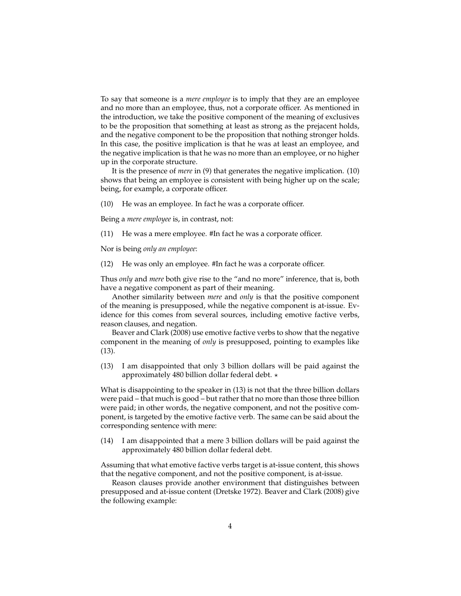To say that someone is a *mere employee* is to imply that they are an employee and no more than an employee, thus, not a corporate officer. As mentioned in the introduction, we take the positive component of the meaning of exclusives to be the proposition that something at least as strong as the prejacent holds, and the negative component to be the proposition that nothing stronger holds. In this case, the positive implication is that he was at least an employee, and the negative implication is that he was no more than an employee, or no higher up in the corporate structure.

It is the presence of *mere* in (9) that generates the negative implication. (10) shows that being an employee is consistent with being higher up on the scale; being, for example, a corporate officer.

(10) He was an employee. In fact he was a corporate officer.

Being a *mere employee* is, in contrast, not:

(11) He was a mere employee. #In fact he was a corporate officer.

Nor is being *only an employee*:

(12) He was only an employee. #In fact he was a corporate officer.

Thus *only* and *mere* both give rise to the "and no more" inference, that is, both have a negative component as part of their meaning.

Another similarity between *mere* and *only* is that the positive component of the meaning is presupposed, while the negative component is at-issue. Evidence for this comes from several sources, including emotive factive verbs, reason clauses, and negation.

Beaver and Clark (2008) use emotive factive verbs to show that the negative component in the meaning of *only* is presupposed, pointing to examples like (13).

(13) I am disappointed that only 3 billion dollars will be paid against the approximately 480 billion dollar federal debt.  $\star$ 

What is disappointing to the speaker in (13) is not that the three billion dollars were paid – that much is good – but rather that no more than those three billion were paid; in other words, the negative component, and not the positive component, is targeted by the emotive factive verb. The same can be said about the corresponding sentence with mere:

(14) I am disappointed that a mere 3 billion dollars will be paid against the approximately 480 billion dollar federal debt.

Assuming that what emotive factive verbs target is at-issue content, this shows that the negative component, and not the positive component, is at-issue.

Reason clauses provide another environment that distinguishes between presupposed and at-issue content (Dretske 1972). Beaver and Clark (2008) give the following example: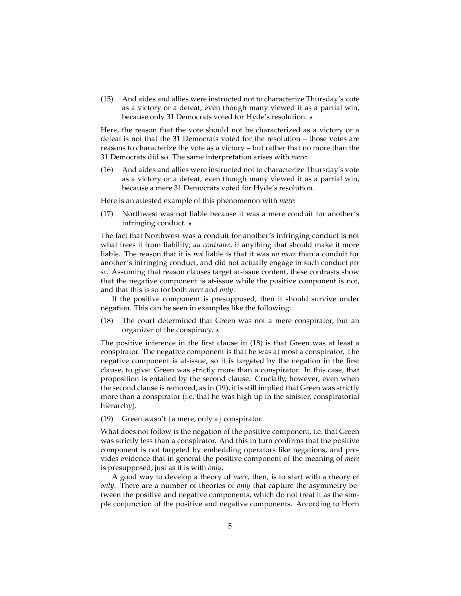(15) And aides and allies were instructed not to characterize Thursday's vote as a victory or a defeat, even though many viewed it as a partial win, because only 31 Democrats voted for Hyde's resolution.  $\star$ 

Here, the reason that the vote should not be characterized as a victory or a defeat is not that the 31 Democrats voted for the resolution – those votes are reasons to characterize the vote as a victory – but rather that no more than the 31 Democrats did so. The same interpretation arises with *mere*:

(16) And aides and allies were instructed not to characterize Thursday's vote as a victory or a defeat, even though many viewed it as a partial win, because a mere 31 Democrats voted for Hyde's resolution.

Here is an attested example of this phenomenon with *mere*:

(17) Northwest was not liable because it was a mere conduit for another's infringing conduct.  $\star$ 

The fact that Northwest was a conduit for another's infringing conduct is not what frees it from liability; *au contraire,* if anything that should make it more liable. The reason that it is *not* liable is that it was *no more* than a conduit for another's infringing conduct, and did not actually engage in such conduct *per se*. Assuming that reason clauses target at-issue content, these contrasts show that the negative component is at-issue while the positive component is not, and that this is so for both *mere* and *only*.

If the positive component is presupposed, then it should survive under negation. This can be seen in examples like the following:

(18) The court determined that Green was not a mere conspirator, but an organizer of the conspiracy.  $\star$ 

The positive inference in the first clause in (18) is that Green was at least a conspirator. The negative component is that he was at most a conspirator. The negative component is at-issue, so it is targeted by the negation in the first clause, to give: Green was strictly more than a conspirator. In this case, that proposition is entailed by the second clause. Crucially, however, even when the second clause is removed, as in (19), it is still implied that Green was strictly more than a conspirator (i.e. that he was high up in the sinister, conspiratorial hierarchy).

(19) Green wasn't {a mere, only a} conspirator.

What does not follow is the negation of the positive component, i.e. that Green was strictly less than a conspirator. And this in turn confirms that the positive component is not targeted by embedding operators like negations, and provides evidence that in general the positive component of the meaning of *mere* is presupposed, just as it is with *only*.

A good way to develop a theory of *mere,* then, is to start with a theory of *only*. There are a number of theories of *only* that capture the asymmetry between the positive and negative components, which do not treat it as the simple conjunction of the positive and negative components. According to Horn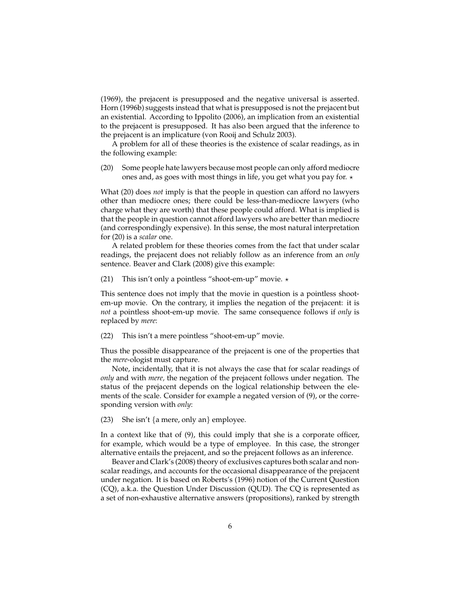(1969), the prejacent is presupposed and the negative universal is asserted. Horn (1996b) suggests instead that what is presupposed is not the prejacent but an existential. According to Ippolito (2006), an implication from an existential to the prejacent is presupposed. It has also been argued that the inference to the prejacent is an implicature (von Rooij and Schulz 2003).

A problem for all of these theories is the existence of scalar readings, as in the following example:

(20) Some people hate lawyers because most people can only afford mediocre ones and, as goes with most things in life, you get what you pay for.  $\star$ 

What (20) does *not* imply is that the people in question can afford no lawyers other than mediocre ones; there could be less-than-mediocre lawyers (who charge what they are worth) that these people could afford. What is implied is that the people in question cannot afford lawyers who are better than mediocre (and correspondingly expensive). In this sense, the most natural interpretation for (20) is a *scalar* one.

A related problem for these theories comes from the fact that under scalar readings, the prejacent does not reliably follow as an inference from an *only* sentence. Beaver and Clark (2008) give this example:

(21) This isn't only a pointless "shoot-em-up" movie.  $\star$ 

This sentence does not imply that the movie in question is a pointless shootem-up movie. On the contrary, it implies the negation of the prejacent: it is *not* a pointless shoot-em-up movie. The same consequence follows if *only* is replaced by *mere*:

(22) This isn't a mere pointless "shoot-em-up" movie.

Thus the possible disappearance of the prejacent is one of the properties that the *mere*-ologist must capture.

Note, incidentally, that it is not always the case that for scalar readings of *only* and with *mere,* the negation of the prejacent follows under negation. The status of the prejacent depends on the logical relationship between the elements of the scale. Consider for example a negated version of (9), or the corresponding version with *only*:

(23) She isn't {a mere, only an} employee.

In a context like that of (9), this could imply that she is a corporate officer, for example, which would be a type of employee. In this case, the stronger alternative entails the prejacent, and so the prejacent follows as an inference.

Beaver and Clark's (2008) theory of exclusives captures both scalar and nonscalar readings, and accounts for the occasional disappearance of the prejacent under negation. It is based on Roberts's (1996) notion of the Current Question (CQ), a.k.a. the Question Under Discussion (QUD). The CQ is represented as a set of non-exhaustive alternative answers (propositions), ranked by strength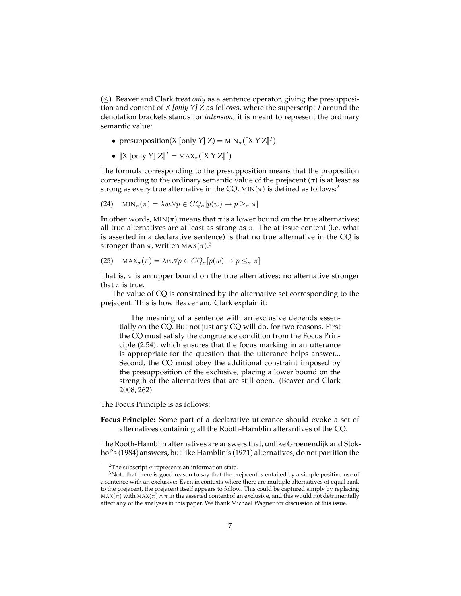(≤). Beaver and Clark treat *only* as a sentence operator, giving the presupposition and content of *X [only Y] Z* as follows, where the superscript I around the denotation brackets stands for *intension*; it is meant to represent the ordinary semantic value:

- presupposition(X [only Y] Z) =  $\text{MIN}_{\sigma}([\![X \ Y \ Z]\!]^I)$
- $[X \text{ [only Y]} Z]^I = \text{MAX}_{\sigma}([\![X \ Y \ Z]\!]^I)$

The formula corresponding to the presupposition means that the proposition corresponding to the ordinary semantic value of the prejacent  $(\pi)$  is at least as strong as every true alternative in the CQ. MIN( $\pi$ ) is defined as follows:<sup>2</sup>

(24) 
$$
\text{MIN}_{\sigma}(\pi) = \lambda w.\forall p \in CQ_{\sigma}[p(w) \to p \geq_{\sigma} \pi]
$$

In other words,  $MIN(\pi)$  means that  $\pi$  is a lower bound on the true alternatives; all true alternatives are at least as strong as  $\pi$ . The at-issue content (i.e. what is asserted in a declarative sentence) is that no true alternative in the CQ is stronger than  $\pi$ , written MAX $(\pi).^3$ 

(25) 
$$
\text{MAX}_{\sigma}(\pi) = \lambda w.\forall p \in CQ_{\sigma}[p(w) \to p \leq_{\sigma} \pi]
$$

That is,  $\pi$  is an upper bound on the true alternatives; no alternative stronger that  $\pi$  is true.

The value of CQ is constrained by the alternative set corresponding to the prejacent. This is how Beaver and Clark explain it:

The meaning of a sentence with an exclusive depends essentially on the CQ. But not just any CQ will do, for two reasons. First the CQ must satisfy the congruence condition from the Focus Principle (2.54), which ensures that the focus marking in an utterance is appropriate for the question that the utterance helps answer... Second, the CQ must obey the additional constraint imposed by the presupposition of the exclusive, placing a lower bound on the strength of the alternatives that are still open. (Beaver and Clark 2008, 262)

The Focus Principle is as follows:

**Focus Principle:** Some part of a declarative utterance should evoke a set of alternatives containing all the Rooth-Hamblin alterantives of the CQ.

The Rooth-Hamblin alternatives are answers that, unlike Groenendijk and Stokhof's (1984) answers, but like Hamblin's (1971) alternatives, do not partition the

<sup>&</sup>lt;sup>2</sup>The subscript  $\sigma$  represents an information state.

<sup>&</sup>lt;sup>3</sup>Note that there is good reason to say that the prejacent is entailed by a simple positive use of a sentence with an exclusive: Even in contexts where there are multiple alternatives of equal rank to the prejacent, the prejacent itself appears to follow. This could be captured simply by replacing MAX( $\pi$ ) with MAX( $\pi$ )  $\land \pi$  in the asserted content of an exclusive, and this would not detrimentally affect any of the analyses in this paper. We thank Michael Wagner for discussion of this issue.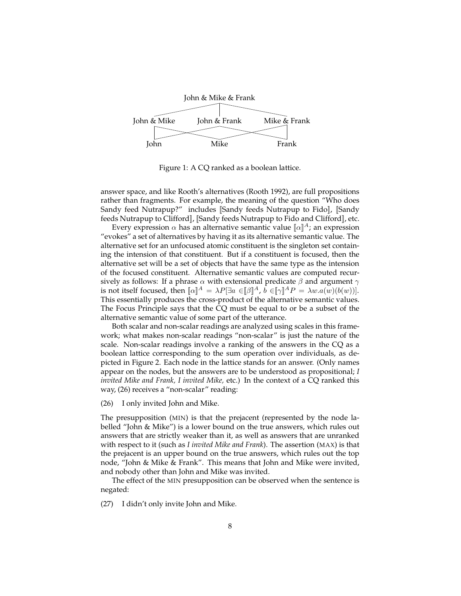

Figure 1: A CQ ranked as a boolean lattice.

answer space, and like Rooth's alternatives (Rooth 1992), are full propositions rather than fragments. For example, the meaning of the question "Who does Sandy feed Nutrapup?" includes [Sandy feeds Nutrapup to Fido], [Sandy feeds Nutrapup to Clifford]], [[Sandy feeds Nutrapup to Fido and Clifford]], etc.

Every expression  $\alpha$  has an alternative semantic value  $\alpha \in \mathbb{R}^4$ ; an expression "evokes" a set of alternatives by having it as its alternative semantic value. The alternative set for an unfocused atomic constituent is the singleton set containing the intension of that constituent. But if a constituent is focused, then the alternative set will be a set of objects that have the same type as the intension of the focused constituent. Alternative semantic values are computed recursively as follows: If a phrase  $\alpha$  with extensional predicate  $\beta$  and argument  $\gamma$ is not itself focused, then  $[\![\alpha]\!]^A = \lambda P[\exists a \in [\![\beta]\!]^A$ ,  $b \in [\![\gamma]\!]^A P = \lambda w.a(w)(b(w))].$ This essentially produces the cross-product of the alternative semantic values. The Focus Principle says that the CQ must be equal to or be a subset of the alternative semantic value of some part of the utterance.

Both scalar and non-scalar readings are analyzed using scales in this framework; what makes non-scalar readings "non-scalar" is just the nature of the scale. Non-scalar readings involve a ranking of the answers in the CQ as a boolean lattice corresponding to the sum operation over individuals, as depicted in Figure 2. Each node in the lattice stands for an answer. (Only names appear on the nodes, but the answers are to be understood as propositional; *I invited Mike and Frank, I invited Mike,* etc.) In the context of a CQ ranked this way, (26) receives a "non-scalar" reading:

(26) I only invited John and Mike.

The presupposition (MIN) is that the prejacent (represented by the node labelled "John & Mike") is a lower bound on the true answers, which rules out answers that are strictly weaker than it, as well as answers that are unranked with respect to it (such as *I invited Mike and Frank*). The assertion (MAX) is that the prejacent is an upper bound on the true answers, which rules out the top node, "John & Mike & Frank". This means that John and Mike were invited, and nobody other than John and Mike was invited.

The effect of the MIN presupposition can be observed when the sentence is negated:

(27) I didn't only invite John and Mike.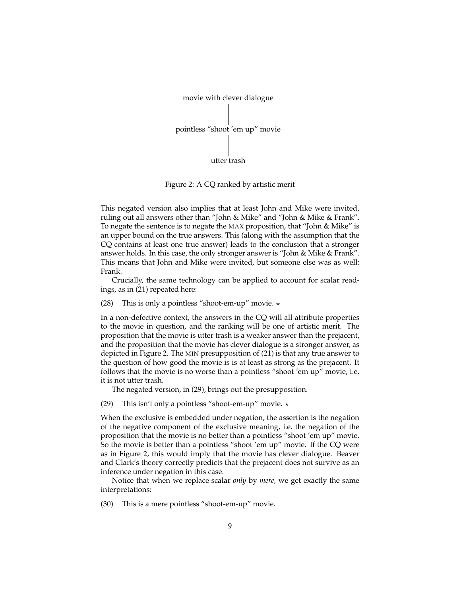

Figure 2: A CQ ranked by artistic merit

This negated version also implies that at least John and Mike were invited, ruling out all answers other than "John & Mike" and "John & Mike & Frank". To negate the sentence is to negate the MAX proposition, that "John & Mike" is an upper bound on the true answers. This (along with the assumption that the CQ contains at least one true answer) leads to the conclusion that a stronger answer holds. In this case, the only stronger answer is "John & Mike & Frank". This means that John and Mike were invited, but someone else was as well: Frank.

Crucially, the same technology can be applied to account for scalar readings, as in (21) repeated here:

(28) This is only a pointless "shoot-em-up" movie.  $\star$ 

In a non-defective context, the answers in the CQ will all attribute properties to the movie in question, and the ranking will be one of artistic merit. The proposition that the movie is utter trash is a weaker answer than the prejacent, and the proposition that the movie has clever dialogue is a stronger answer, as depicted in Figure 2. The MIN presupposition of (21) is that any true answer to the question of how good the movie is is at least as strong as the prejacent. It follows that the movie is no worse than a pointless "shoot 'em up" movie, i.e. it is not utter trash.

The negated version, in (29), brings out the presupposition.

(29) This isn't only a pointless "shoot-em-up" movie.  $\star$ 

When the exclusive is embedded under negation, the assertion is the negation of the negative component of the exclusive meaning, i.e. the negation of the proposition that the movie is no better than a pointless "shoot 'em up" movie. So the movie is better than a pointless "shoot 'em up" movie. If the CQ were as in Figure 2, this would imply that the movie has clever dialogue. Beaver and Clark's theory correctly predicts that the prejacent does not survive as an inference under negation in this case.

Notice that when we replace scalar *only* by *mere,* we get exactly the same interpretations:

(30) This is a mere pointless "shoot-em-up" movie.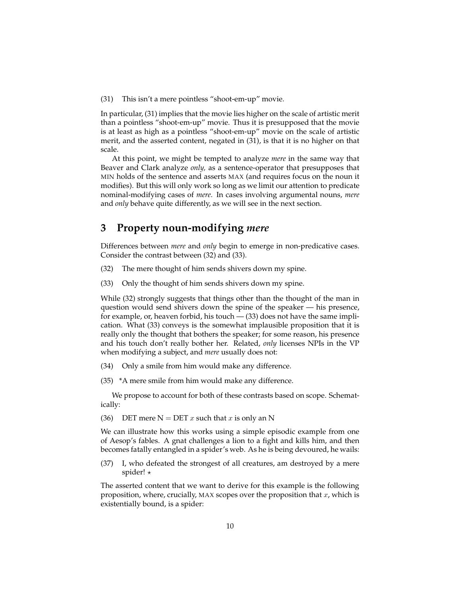(31) This isn't a mere pointless "shoot-em-up" movie.

In particular, (31) implies that the movie lies higher on the scale of artistic merit than a pointless "shoot-em-up" movie. Thus it is presupposed that the movie is at least as high as a pointless "shoot-em-up" movie on the scale of artistic merit, and the asserted content, negated in (31), is that it is no higher on that scale.

At this point, we might be tempted to analyze *mere* in the same way that Beaver and Clark analyze *only,* as a sentence-operator that presupposes that MIN holds of the sentence and asserts MAX (and requires focus on the noun it modifies). But this will only work so long as we limit our attention to predicate nominal-modifying cases of *mere*. In cases involving argumental nouns, *mere* and *only* behave quite differently, as we will see in the next section.

### **3 Property noun-modifying** *mere*

Differences between *mere* and *only* begin to emerge in non-predicative cases. Consider the contrast between (32) and (33).

- (32) The mere thought of him sends shivers down my spine.
- (33) Only the thought of him sends shivers down my spine.

While (32) strongly suggests that things other than the thought of the man in question would send shivers down the spine of the speaker — his presence, for example, or, heaven forbid, his touch — (33) does not have the same implication. What (33) conveys is the somewhat implausible proposition that it is really only the thought that bothers the speaker; for some reason, his presence and his touch don't really bother her. Related, *only* licenses NPIs in the VP when modifying a subject, and *mere* usually does not:

- (34) Only a smile from him would make any difference.
- (35) \*A mere smile from him would make any difference.

We propose to account for both of these contrasts based on scope. Schematically:

(36) DET mere  $N = \text{DET } x$  such that  $x$  is only an N

We can illustrate how this works using a simple episodic example from one of Aesop's fables. A gnat challenges a lion to a fight and kills him, and then becomes fatally entangled in a spider's web. As he is being devoured, he wails:

(37) I, who defeated the strongest of all creatures, am destroyed by a mere spider! ⋆

The asserted content that we want to derive for this example is the following proposition, where, crucially, MAX scopes over the proposition that  $x$ , which is existentially bound, is a spider: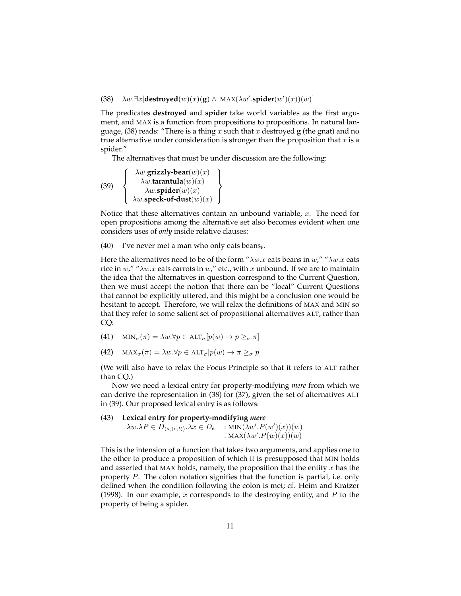(38)  $\lambda w \cdot \exists x [\text{destroyed}(w)(x)(g) \wedge \text{MAX}(\lambda w'.\text{spider}(w')(x))(w)]$ 

The predicates **destroyed** and **spider** take world variables as the first argument, and MAX is a function from propositions to propositions. In natural language, (38) reads: "There is a thing x such that x destroyed  $\bf{g}$  (the gnat) and no true alternative under consideration is stronger than the proposition that  $x$  is a spider."

The alternatives that must be under discussion are the following:

(39) 
$$
\begin{Bmatrix}\n\lambda w.\text{grizzly-bear}(w)(x) \\
\lambda w.\text{tarantula}(w)(x) \\
\lambda w.\text{spider}(w)(x) \\
\lambda w.\text{speck-of-dust}(w)(x)\n\end{Bmatrix}
$$

Notice that these alternatives contain an unbound variable,  $x$ . The need for open propositions among the alternative set also becomes evident when one considers uses of *only* inside relative clauses:

(40) I've never met a man who only eats beans<sub>F</sub>.

Here the alternatives need to be of the form " $\lambda w.x$  eats beans in w," " $\lambda w.x$  eats rice in  $w''$  " $\lambda w.x$  eats carrots in  $w''$  etc., with x unbound. If we are to maintain the idea that the alternatives in question correspond to the Current Question, then we must accept the notion that there can be "local" Current Questions that cannot be explicitly uttered, and this might be a conclusion one would be hesitant to accept. Therefore, we will relax the definitions of MAX and MIN so that they refer to some salient set of propositional alternatives ALT, rather than CQ:

(41) 
$$
\text{MIN}_{\sigma}(\pi) = \lambda w.\forall p \in \text{ALT}_{\sigma}[p(w) \to p \geq_{\sigma} \pi]
$$

(42)  $\text{MAX}_{\sigma}(\pi) = \lambda w.\forall p \in \text{ALT}_{\sigma}[p(w) \rightarrow \pi \geq_{\sigma} p]$ 

(We will also have to relax the Focus Principle so that it refers to ALT rather than CQ.)

Now we need a lexical entry for property-modifying *mere* from which we can derive the representation in (38) for (37), given the set of alternatives ALT in (39). Our proposed lexical entry is as follows:

#### (43) **Lexical entry for property-modifying** *mere*

 $\lambda w.\lambda P \in D_{\langle s, \langle e, t \rangle \rangle}.\lambda x \in D_e$  : MIN $(\lambda w'.P(w')(x))(w)$ . MAX $(\lambda w'.P(w)(x))(w)$ 

This is the intension of a function that takes two arguments, and applies one to the other to produce a proposition of which it is presupposed that MIN holds and asserted that MAX holds, namely, the proposition that the entity  $x$  has the property P. The colon notation signifies that the function is partial, i.e. only defined when the condition following the colon is met; cf. Heim and Kratzer (1998). In our example, x corresponds to the destroying entity, and  $P$  to the property of being a spider.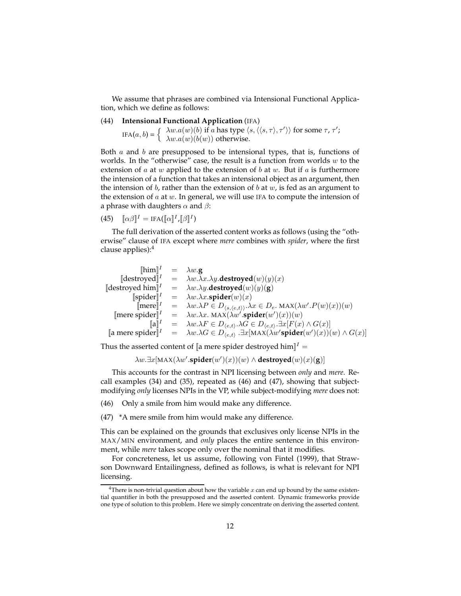We assume that phrases are combined via Intensional Functional Application, which we define as follows:

#### (44) **Intensional Functional Application** (IFA)

IFA $(a, b) = \begin{cases} \lambda w.a(w)(b) \text{ if } a \text{ has type } \langle s, \langle \langle s, \tau \rangle, \tau' \rangle \rangle \text{ for some } \tau, \tau';\\ \lambda w.a(w)(b(w)) \text{ otherwise.} \end{cases}$  $\lambda w.a(w)(b(w))$  otherwise.

Both  $a$  and  $b$  are presupposed to be intensional types, that is, functions of worlds. In the "otherwise" case, the result is a function from worlds  $w$  to the extension of  $a$  at  $w$  applied to the extension of  $b$  at  $w$ . But if  $a$  is furthermore the intension of a function that takes an intensional object as an argument, then the intension of b, rather than the extension of b at  $w$ , is fed as an argument to the extension of  $a$  at  $w$ . In general, we will use IFA to compute the intension of a phrase with daughters  $\alpha$  and  $\beta$ :

(45)  $\[\![\alpha\beta]\!]^I = \text{IFA}([\![\alpha]\!]^I, [\![\beta]\!]^I)$ 

The full derivation of the asserted content works as follows (using the "otherwise" clause of IFA except where *mere* combines with *spider*, where the first clause applies):<sup>4</sup>

| $[\hbox{him}]^I = \lambda w . \mathbf{g}$             |                                                                                                                                                          |
|-------------------------------------------------------|----------------------------------------------------------------------------------------------------------------------------------------------------------|
| $\llbracket$ destroyed $\rrbracket^I$                 | $= \lambda w.\lambda x.\lambda y.\text{destroyed}(w)(y)(x)$                                                                                              |
| $\lbrack$ destroyed him $\rbrack\lbrack$ <sup>I</sup> | $= \lambda w.\lambda y.\text{destroyed}(w)(y)(g)$                                                                                                        |
| $[\text{spider}]^{I}$                                 | $= \lambda w.\lambda x.\text{spider}(w)(x)$                                                                                                              |
| $[ {\text{mere}}]^I$                                  | = $\lambda w.\lambda P \in D_{\langle s, \langle e, t \rangle \rangle}.\lambda x \in D_e$ . MAX $(\lambda w'.P(w)(x))(w)$                                |
| [mere spider] $^I$                                    | $= \lambda w.\lambda x. \text{ MAX}(\lambda w'.\text{spider}(w')(x))(w)$                                                                                 |
| $\llbracket a \rrbracket^I$                           | $= \lambda w.\lambda F \in D_{\langle e,t\rangle}.\lambda G \in D_{\langle e,t\rangle}.\exists x[F(x) \wedge G(x)]$                                      |
|                                                       | [a mere spider] <sup><i>I</i></sup> = $\lambda w.\lambda G \in D_{\langle e,t \rangle}$ . ∃x[MAX( $\lambda w'$ <b>spider</b> ( $w')(x)(w) \wedge G(x)$ ] |

Thus the asserted content of [a mere spider destroyed him]<sup> $I =$ </sup>

 $\lambda w.\exists x[\text{MAX}(\lambda w'.\textbf{spider}(w')(x))(w) \wedge \textbf{destroyed}(w)(x)(g)]$ 

This accounts for the contrast in NPI licensing between *only* and *mere*. Recall examples (34) and (35), repeated as (46) and (47), showing that subjectmodifying *only* licenses NPIs in the VP, while subject-modifying *mere* does not:

(46) Only a smile from him would make any difference.

(47) \*A mere smile from him would make any difference.

This can be explained on the grounds that exclusives only license NPIs in the MAX/MIN environment, and *only* places the entire sentence in this environment, while *mere* takes scope only over the nominal that it modifies.

For concreteness, let us assume, following von Fintel (1999), that Strawson Downward Entailingness, defined as follows, is what is relevant for NPI licensing.

<sup>&</sup>lt;sup>4</sup>There is non-trivial question about how the variable x can end up bound by the same existential quantifier in both the presupposed and the asserted content. Dynamic frameworks provide one type of solution to this problem. Here we simply concentrate on deriving the asserted content.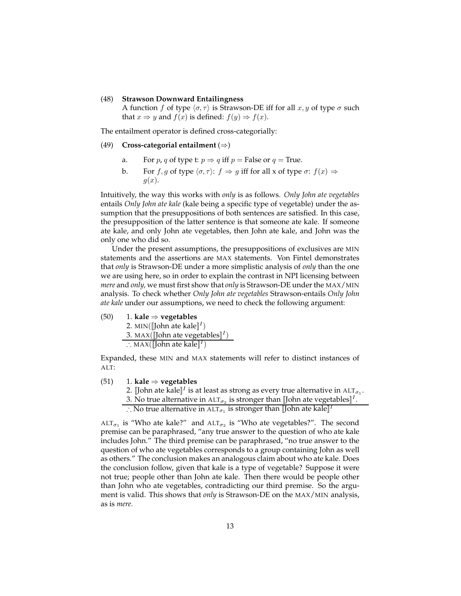#### (48) **Strawson Downward Entailingness**

A function f of type  $\langle \sigma, \tau \rangle$  is Strawson-DE iff for all  $x, y$  of type  $\sigma$  such that  $x \Rightarrow y$  and  $f(x)$  is defined:  $f(y) \Rightarrow f(x)$ .

The entailment operator is defined cross-categorially:

#### (49) **Cross-categorial entailment** (⇒)

- a. For *p*, *q* of type t:  $p \Rightarrow q$  iff  $p$  = False or  $q$  = True.
- b. For f, g of type  $\langle \sigma, \tau \rangle$ :  $f \Rightarrow g$  iff for all x of type  $\sigma$ :  $f(x) \Rightarrow$  $q(x)$ .

Intuitively, the way this works with *only* is as follows. *Only John ate vegetables* entails *Only John ate kale* (kale being a specific type of vegetable) under the assumption that the presuppositions of both sentences are satisfied. In this case, the presupposition of the latter sentence is that someone ate kale. If someone ate kale, and only John ate vegetables, then John ate kale, and John was the only one who did so.

Under the present assumptions, the presuppositions of exclusives are MIN statements and the assertions are MAX statements. Von Fintel demonstrates that *only* is Strawson-DE under a more simplistic analysis of *only* than the one we are using here, so in order to explain the contrast in NPI licensing between *mere* and *only,* we must first show that *only* is Strawson-DE under the MAX/MIN analysis. To check whether *Only John ate vegetables* Strawson-entails *Only John ate kale* under our assumptions, we need to check the following argument:

(50) 1. **kale** ⇒ **vegetables** 2. MIN $(\llbracket \text{John ate kale} \rrbracket^I)$ 3. MAX $(\llbracket \text{John ate vegetables} \rrbracket^I)$ 

$$
\therefore \text{MAX}([\text{John ate kale}]^I)
$$

Expanded, these MIN and MAX statements will refer to distinct instances of ALT:

#### (51) 1. **kale** ⇒ **vegetables**

- 2. [John ate kale] $^I$  is at least as strong as every true alternative in ALT $_{\sigma_1}.$
- 3. No true alternative in ALT $_{\sigma_2}$  is stronger than [John ate vegetables] $^I.$
- ∴ No true alternative in ALT $_{\sigma_1}$  is stronger than [John ate kale] $^I$

 $\text{ALT}_{\sigma_1}$  is "Who ate kale?" and  $\text{ALT}_{\sigma_2}$  is "Who ate vegetables?". The second premise can be paraphrased, "any true answer to the question of who ate kale includes John." The third premise can be paraphrased, "no true answer to the question of who ate vegetables corresponds to a group containing John as well as others." The conclusion makes an analogous claim about who ate kale. Does the conclusion follow, given that kale is a type of vegetable? Suppose it were not true; people other than John ate kale. Then there would be people other than John who ate vegetables, contradicting our third premise. So the argument is valid. This shows that *only* is Strawson-DE on the MAX/MIN analysis, as is *mere.*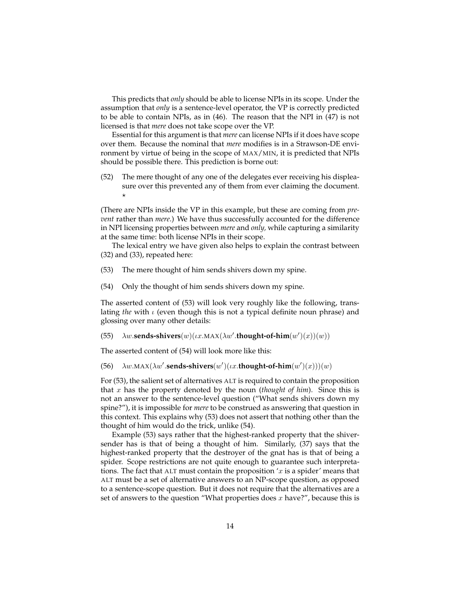This predicts that *only* should be able to license NPIs in its scope. Under the assumption that *only* is a sentence-level operator, the VP is correctly predicted to be able to contain NPIs, as in (46). The reason that the NPI in (47) is not licensed is that *mere* does not take scope over the VP.

Essential for this argument is that *mere* can license NPIs if it does have scope over them. Because the nominal that *mere* modifies is in a Strawson-DE environment by virtue of being in the scope of MAX/MIN, it is predicted that NPIs should be possible there. This prediction is borne out:

(52) The mere thought of any one of the delegates ever receiving his displeasure over this prevented any of them from ever claiming the document.  $\star$ 

(There are NPIs inside the VP in this example, but these are coming from *prevent* rather than *mere*.) We have thus successfully accounted for the difference in NPI licensing properties between *mere* and *only,* while capturing a similarity at the same time: both license NPIs in their scope.

The lexical entry we have given also helps to explain the contrast between (32) and (33), repeated here:

- (53) The mere thought of him sends shivers down my spine.
- (54) Only the thought of him sends shivers down my spine.

The asserted content of (53) will look very roughly like the following, translating *the* with ι (even though this is not a typical definite noun phrase) and glossing over many other details:

(55)  $\lambda w$ **.sends-shivers** $(w)(\iota x.MAX(\lambda w'.$ **thought-of-him** $(w')(x))(w))$ 

The asserted content of (54) will look more like this:

(56)  $\lambda w. \text{MAX}(\lambda w'.\text{sends-shivers}(w')(ux.\text{thought-of-him}(w')(x)))(w)$ 

For (53), the salient set of alternatives ALT is required to contain the proposition that x has the property denoted by the noun (*thought of him*). Since this is not an answer to the sentence-level question ("What sends shivers down my spine?"), it is impossible for *mere* to be construed as answering that question in this context. This explains why (53) does not assert that nothing other than the thought of him would do the trick, unlike (54).

Example (53) says rather that the highest-ranked property that the shiversender has is that of being a thought of him. Similarly, (37) says that the highest-ranked property that the destroyer of the gnat has is that of being a spider. Scope restrictions are not quite enough to guarantee such interpretations. The fact that ALT must contain the proposition  $x$  is a spider' means that ALT must be a set of alternative answers to an NP-scope question, as opposed to a sentence-scope question. But it does not require that the alternatives are a set of answers to the question "What properties does  $x$  have?", because this is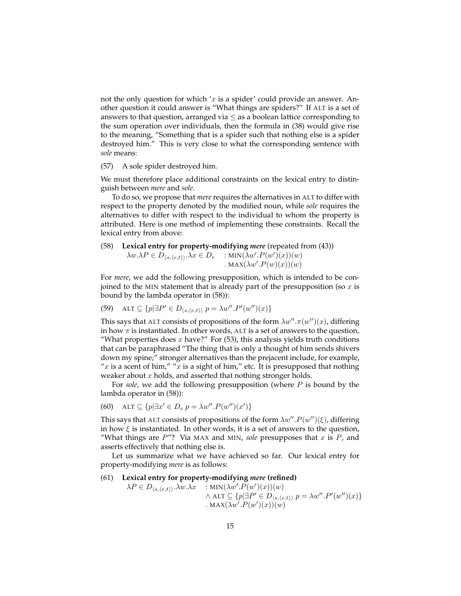not the only question for which ' $x$  is a spider' could provide an answer. Another question it could answer is "What things are spiders?" If ALT is a set of answers to that question, arranged via  $\leq$  as a boolean lattice corresponding to the sum operation over individuals, then the formula in (38) would give rise to the meaning, "Something that is a spider such that nothing else is a spider destroyed him." This is very close to what the corresponding sentence with *sole* means:

#### (57) A sole spider destroyed him.

We must therefore place additional constraints on the lexical entry to distinguish between *mere* and *sole*.

To do so, we propose that *mere* requires the alternatives in ALT to differ with respect to the property denoted by the modified noun, while *sole* requires the alternatives to differ with respect to the individual to whom the property is attributed. Here is one method of implementing these constraints. Recall the lexical entry from above:

(58) **Lexical entry for property-modifying** *mere* (repeated from (43))

$$
\lambda w.\lambda P \in D_{\langle s, \langle e, t \rangle \rangle}.\lambda x \in D_e \quad : \min(\lambda w'.P(w')(x))(w) \cdot \max(\lambda w'.P(w)(x))(w) \cdot
$$

For *mere*, we add the following presupposition, which is intended to be conjoined to the MIN statement that is already part of the presupposition (so  $x$  is bound by the lambda operator in (58)):

(59) 
$$
\text{ALT} \subseteq \{p | \exists P' \in D_{\langle s, \langle e, t \rangle \rangle} p = \lambda w''.P'(w'')(x)\}
$$

This says that ALT consists of propositions of the form  $\lambda w'' \cdot \pi(w'')(x)$ , differing in how  $\pi$  is instantiated. In other words, ALT is a set of answers to the question, "What properties does  $x$  have?" For (53), this analysis yields truth conditions that can be paraphrased "The thing that is only a thought of him sends shivers down my spine;" stronger alternatives than the prejacent include, for example, "x is a scent of him," "x is a sight of him," etc. It is presupposed that nothing weaker about  $x$  holds, and asserted that nothing stronger holds.

For *sole*, we add the following presupposition (where P is bound by the lambda operator in (58)):

(60) 
$$
\text{ALT} \subseteq \{p | \exists x' \in D_e \ p = \lambda w''.P(w'')(x')\}
$$

This says that ALT consists of propositions of the form  $\lambda w'' \cdot P(w'')(\xi)$ , differing in how  $\xi$  is instantiated. In other words, it is a set of answers to the question, "What things are  $P$ "? Via MAX and MIN, sole presupposes that  $x$  is  $P$ , and asserts effectively that nothing else is.

Let us summarize what we have achieved so far. Our lexical entry for property-modifying *mere* is as follows:

#### (61) **Lexical entry for property-modifying** *mere* **(refined)**

$$
\lambda P \in D_{\langle s, \langle e, t \rangle \rangle}. \lambda w.\lambda x : MIN(\lambda w'.P(w')(x))(w)
$$
  

$$
\wedge \text{ALT} \subseteq \{p | \exists P' \in D_{\langle s, \langle e, t \rangle \rangle} p = \lambda w''.P'(w'')(x)\}
$$
  
. MAX(\lambda w'.P(w')(x))(w)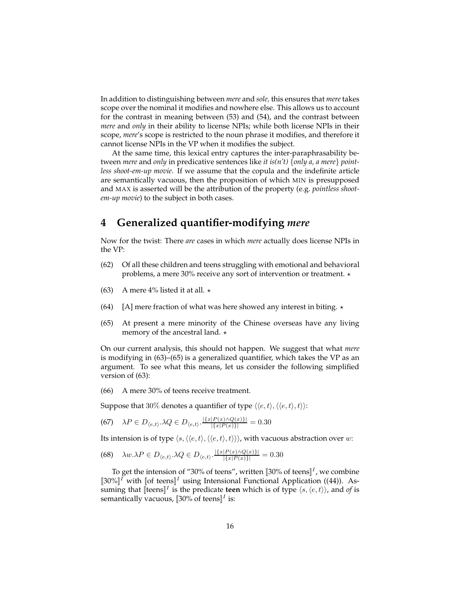In addition to distinguishing between *mere* and *sole,* this ensures that *mere* takes scope over the nominal it modifies and nowhere else. This allows us to account for the contrast in meaning between (53) and (54), and the contrast between *mere* and *only* in their ability to license NPIs; while both license NPIs in their scope, *mere*'s scope is restricted to the noun phrase it modifies, and therefore it cannot license NPIs in the VP when it modifies the subject.

At the same time, this lexical entry captures the inter-paraphrasability between *mere* and *only* in predicative sentences like *it is(n't)* {*only a, a mere*} *pointless shoot-em-up movie*. If we assume that the copula and the indefinite article are semantically vacuous, then the proposition of which MIN is presupposed and MAX is asserted will be the attribution of the property (e.g. *pointless shootem-up movie*) to the subject in both cases.

# **4 Generalized quantifier-modifying** *mere*

Now for the twist: There *are* cases in which *mere* actually does license NPIs in the VP:

- (62) Of all these children and teens struggling with emotional and behavioral problems, a mere 30% receive any sort of intervention or treatment.  $\star$
- (63) A mere 4% listed it at all.  $\star$
- (64) [A] mere fraction of what was here showed any interest in biting.  $\star$
- (65) At present a mere minority of the Chinese overseas have any living memory of the ancestral land.  $\star$

On our current analysis, this should not happen. We suggest that what *mere* is modifying in (63)–(65) is a generalized quantifier, which takes the VP as an argument. To see what this means, let us consider the following simplified version of (63):

(66) A mere 30% of teens receive treatment.

Suppose that 30% denotes a quantifier of type  $\langle \langle e, t \rangle, \langle \langle e, t \rangle, t \rangle$ :

$$
(67) \quad \lambda P \in D_{\langle e,t \rangle}.\lambda Q \in D_{\langle e,t \rangle}.\frac{|\{x|P(x)\wedge Q(x)\}|}{|\{x|P(x)\}|} = 0.30
$$

Its intension is of type  $\langle s,\langle\langle e,t\rangle,\langle\langle e,t\rangle,t\rangle\rangle\rangle$ , with vacuous abstraction over w:

$$
(68)\quad \lambda w.\lambda P \in D_{\langle e,t\rangle}.\lambda Q \in D_{\langle e,t\rangle}.\frac{|\{x|P(x)\wedge Q(x)\}|}{|\{x|P(x)\}|} = 0.30
$$

To get the intension of "30% of teens", written  $[\![30\% \text{ of } \text{teens}]\!]^I$ , we combine  $[30\%]^I$  with  $[of$  teens $]^I$  using Intensional Functional Application ((44)). Assuming that [[teens]<sup>*I*</sup> is the predicate teen which is of type  $\langle s, \langle e, t \rangle \rangle$ , and *of* is semantically vacuous, [30% of teens]<sup>I</sup> is: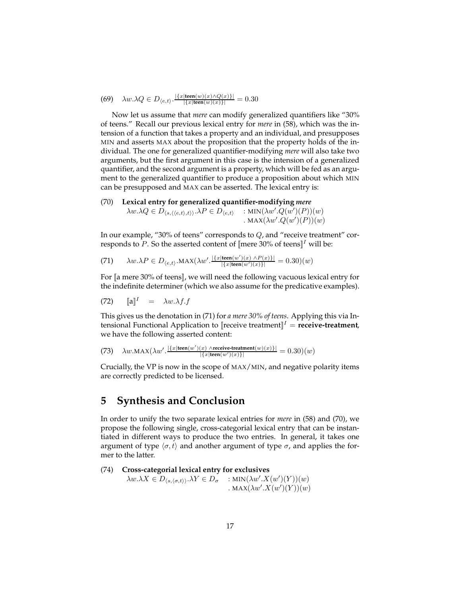(69) 
$$
\lambda w.\lambda Q \in D_{\langle e,t\rangle}.\frac{|\{x|\text{teen}(w)(x) \wedge Q(x)\}|}{|\{x|\text{teen}(w)(x)\}|} = 0.30
$$

Now let us assume that *mere* can modify generalized quantifiers like "30% of teens." Recall our previous lexical entry for *mere* in (58), which was the intension of a function that takes a property and an individual, and presupposes MIN and asserts MAX about the proposition that the property holds of the individual. The one for generalized quantifier-modifying *mere* will also take two arguments, but the first argument in this case is the intension of a generalized quantifier, and the second argument is a property, which will be fed as an argument to the generalized quantifier to produce a proposition about which MIN can be presupposed and MAX can be asserted. The lexical entry is:

(70) **Lexical entry for generalized quantifier-modifying** *mere*  $\lambda w.\lambda Q \in D_{\langle s, \langle \langle e, t \rangle, t \rangle \rangle}.\lambda P \in D_{\langle e, t \rangle}$  : MIN $(\lambda w'.Q(w')(P))(w)$ . MAX $(\lambda w'.Q(w')(P))(w)$ 

In our example, "30% of teens" corresponds to Q, and "receive treatment" corresponds to P. So the asserted content of  $[$ mere 30% of teens $]$ <sup>1</sup> will be:

(71) 
$$
\lambda w.\lambda P \in D_{\langle e,t\rangle}.\text{MAX}(\lambda w'.\frac{|\{x|\text{teen}(w')(x) \land P(x)\}|}{|\{x|\text{teen}(w')(x)\}|} = 0.30)(w)
$$

For [[a mere 30% of teens]], we will need the following vacuous lexical entry for the indefinite determiner (which we also assume for the predicative examples).

$$
(72) \qquad [a]^I \quad = \quad \lambda w.\lambda f.f
$$

This gives us the denotation in (71) for *a mere 30% of teens*. Applying this via Intensional Functional Application to  $[|{\text{receiver}|}]^{\text{T}}$  = **receive-treatment**, we have the following asserted content:

(73) 
$$
\lambda w.\text{MAX}(\lambda w'.\frac{|\{x \mid \text{teen}(w')(x) \land \text{receive-treatment}(w)(x)\}|}{|\{x \mid \text{teen}(w')(x)\}|} = 0.30)(w)
$$

Crucially, the VP is now in the scope of MAX/MIN, and negative polarity items are correctly predicted to be licensed.

## **5 Synthesis and Conclusion**

In order to unify the two separate lexical entries for *mere* in (58) and (70), we propose the following single, cross-categorial lexical entry that can be instantiated in different ways to produce the two entries. In general, it takes one argument of type  $\langle \sigma, t \rangle$  and another argument of type  $\sigma$ , and applies the former to the latter.

(74) Cross-categorical lexical entry for exclusives  
\n
$$
\lambda w.\lambda X \in D_{\langle s, \langle \sigma, t \rangle \rangle}.\lambda Y \in D_{\sigma}
$$
 : MIN( $\lambda w'.X(w')(Y))(w)$ )

$$
MAX(\lambda w'.X(w')(Y))(w)
$$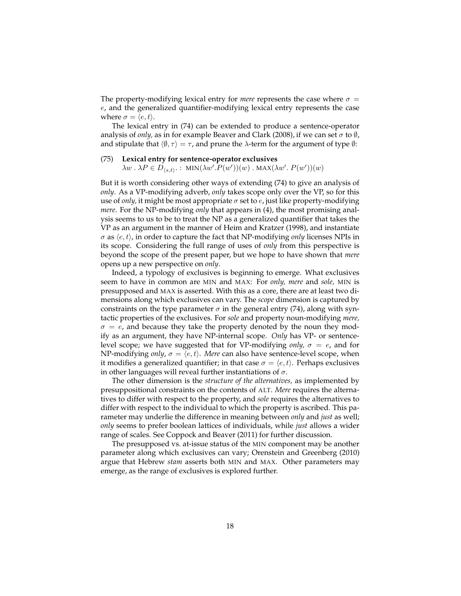The property-modifying lexical entry for *mere* represents the case where  $\sigma$  = e, and the generalized quantifier-modifying lexical entry represents the case where  $\sigma = \langle e, t \rangle$ .

The lexical entry in (74) can be extended to produce a sentence-operator analysis of *only*, as in for example Beaver and Clark (2008), if we can set  $\sigma$  to  $\emptyset$ , and stipulate that  $\langle \emptyset, \tau \rangle = \tau$ , and prune the  $\lambda$ -term for the argument of type  $\emptyset$ :

#### (75) **Lexical entry for sentence-operator exclusives**  $\lambda w \cdot \lambda P \in D_{\langle s,t \rangle}$  : MIN $(\lambda w' . P(w'))(w)$  . MAX $(\lambda w' . P(w'))(w)$

But it is worth considering other ways of extending (74) to give an analysis of *only*. As a VP-modifying adverb, *only* takes scope only over the VP, so for this use of *only*, it might be most appropriate  $\sigma$  set to e, just like property-modifying *mere*. For the NP-modifying *only* that appears in (4), the most promising analysis seems to us to be to treat the NP as a generalized quantifier that takes the VP as an argument in the manner of Heim and Kratzer (1998), and instantiate  $\sigma$  as  $\langle e, t \rangle$ , in order to capture the fact that NP-modifying *only* licenses NPIs in its scope. Considering the full range of uses of *only* from this perspective is beyond the scope of the present paper, but we hope to have shown that *mere* opens up a new perspective on *only*.

Indeed, a typology of exclusives is beginning to emerge. What exclusives seem to have in common are MIN and MAX: For *only, mere* and *sole,* MIN is presupposed and MAX is asserted. With this as a core, there are at least two dimensions along which exclusives can vary. The *scope* dimension is captured by constraints on the type parameter  $\sigma$  in the general entry (74), along with syntactic properties of the exclusives. For *sole* and property noun-modifying *mere,*  $\sigma = e$ , and because they take the property denoted by the noun they modify as an argument, they have NP-internal scope. *Only* has VP- or sentencelevel scope; we have suggested that for VP-modifying *only*,  $\sigma = e$ , and for NP-modifying *only*,  $\sigma = \langle e, t \rangle$ . *Mere* can also have sentence-level scope, when it modifies a generalized quantifier; in that case  $\sigma = \langle e, t \rangle$ . Perhaps exclusives in other languages will reveal further instantiations of  $\sigma$ .

The other dimension is the *structure of the alternatives,* as implemented by presuppositional constraints on the contents of ALT. *Mere* requires the alternatives to differ with respect to the property, and *sole* requires the alternatives to differ with respect to the individual to which the property is ascribed. This parameter may underlie the difference in meaning between *only* and *just* as well; *only* seems to prefer boolean lattices of individuals, while *just* allows a wider range of scales. See Coppock and Beaver (2011) for further discussion.

The presupposed vs. at-issue status of the MIN component may be another parameter along which exclusives can vary; Orenstein and Greenberg (2010) argue that Hebrew *stam* asserts both MIN and MAX. Other parameters may emerge, as the range of exclusives is explored further.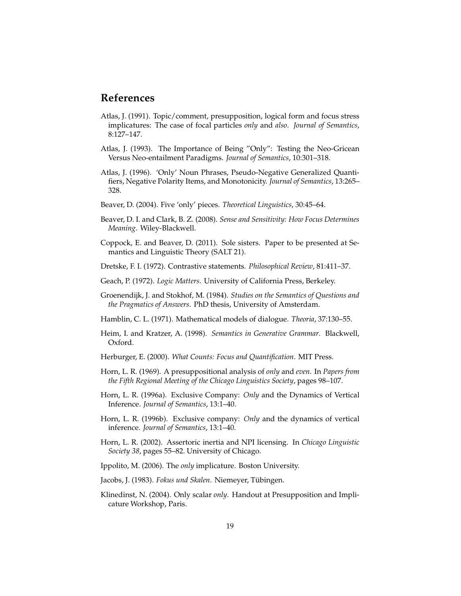## **References**

- Atlas, J. (1991). Topic/comment, presupposition, logical form and focus stress implicatures: The case of focal particles *only* and *also*. *Journal of Semantics*, 8:127–147.
- Atlas, J. (1993). The Importance of Being "Only": Testing the Neo-Gricean Versus Neo-entailment Paradigms. *Journal of Semantics*, 10:301–318.
- Atlas, J. (1996). 'Only' Noun Phrases, Pseudo-Negative Generalized Quantifiers, Negative Polarity Items, and Monotonicity. *Journal of Semantics*, 13:265– 328.
- Beaver, D. (2004). Five 'only' pieces. *Theoretical Linguistics*, 30:45–64.
- Beaver, D. I. and Clark, B. Z. (2008). *Sense and Sensitivity: How Focus Determines Meaning*. Wiley-Blackwell.
- Coppock, E. and Beaver, D. (2011). Sole sisters. Paper to be presented at Semantics and Linguistic Theory (SALT 21).
- Dretske, F. I. (1972). Contrastive statements. *Philosophical Review*, 81:411–37.
- Geach, P. (1972). *Logic Matters*. University of California Press, Berkeley.
- Groenendijk, J. and Stokhof, M. (1984). *Studies on the Semantics of Questions and the Pragmatics of Answers*. PhD thesis, University of Amsterdam.
- Hamblin, C. L. (1971). Mathematical models of dialogue. *Theoria*, 37:130–55.
- Heim, I. and Kratzer, A. (1998). *Semantics in Generative Grammar*. Blackwell, Oxford.
- Herburger, E. (2000). *What Counts: Focus and Quantification*. MIT Press.
- Horn, L. R. (1969). A presuppositional analysis of *only* and *even*. In *Papers from the Fifth Regional Meeting of the Chicago Linguistics Society*, pages 98–107.
- Horn, L. R. (1996a). Exclusive Company: *Only* and the Dynamics of Vertical Inference. *Journal of Semantics*, 13:1–40.
- Horn, L. R. (1996b). Exclusive company: *Only* and the dynamics of vertical inference. *Journal of Semantics*, 13:1–40.
- Horn, L. R. (2002). Assertoric inertia and NPI licensing. In *Chicago Linguistic Society 38*, pages 55–82. University of Chicago.
- Ippolito, M. (2006). The *only* implicature. Boston University.
- Jacobs, J. (1983). *Fokus und Skalen*. Niemeyer, Tübingen.
- Klinedinst, N. (2004). Only scalar *only*. Handout at Presupposition and Implicature Workshop, Paris.